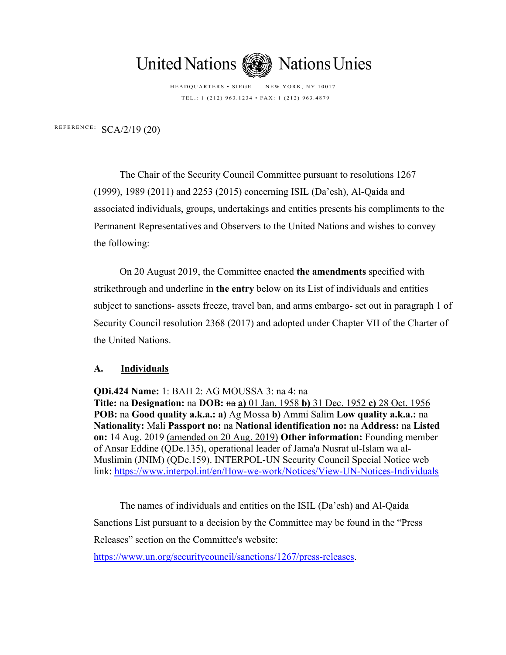

HEADQUARTERS • SIEGE NEW YORK, NY 10017 TEL.: 1 (212) 963.1234 • FAX: 1 (212) 963.4879

REFERENCE: SCA/2/19 (20)

The Chair of the Security Council Committee pursuant to resolutions 1267 (1999), 1989 (2011) and 2253 (2015) concerning ISIL (Da'esh), Al-Qaida and associated individuals, groups, undertakings and entities presents his compliments to the Permanent Representatives and Observers to the United Nations and wishes to convey the following:

On 20 August 2019, the Committee enacted **the amendments** specified with strikethrough and underline in **the entry** below on its List of individuals and entities subject to sanctions- assets freeze, travel ban, and arms embargo- set out in paragraph 1 of Security Council resolution 2368 (2017) and adopted under Chapter VII of the Charter of the United Nations.

## **A. Individuals**

**QDi.424 Name:** 1: BAH 2: AG MOUSSA 3: na 4: na

**Title:** na **Designation:** na **DOB:** na **a)** 01 Jan. 1958 **b)** 31 Dec. 1952 **c)** 28 Oct. 1956 **POB:** na **Good quality a.k.a.: a)** Ag Mossa **b)** Ammi Salim **Low quality a.k.a.:** na **Nationality:** Mali **Passport no:** na **National identification no:** na **Address:** na **Listed on:** 14 Aug. 2019 (amended on 20 Aug. 2019) **Other information:** Founding member of Ansar Eddine (QDe.135), operational leader of Jama'a Nusrat ul-Islam wa al-Muslimin (JNIM) (QDe.159). INTERPOL-UN Security Council Special Notice web link: https://www.interpol.int/en/How-we-work/Notices/View-UN-Notices-Individuals

 The names of individuals and entities on the ISIL (Da'esh) and Al-Qaida Sanctions List pursuant to a decision by the Committee may be found in the "Press Releases" section on the Committee's website:

https://www.un.org/securitycouncil/sanctions/1267/press-releases.